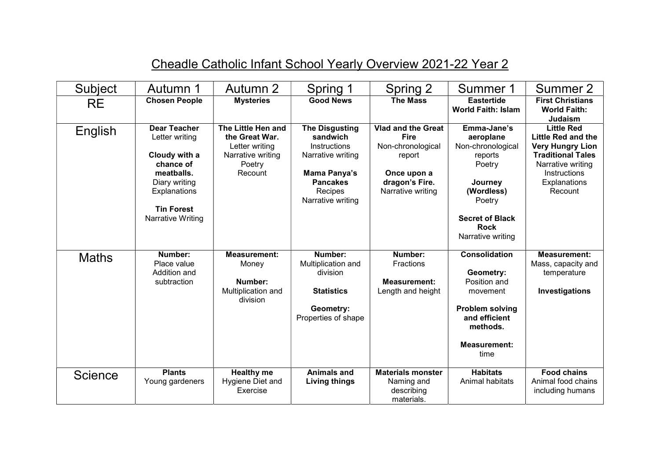| Subject        | Autumn 1                                                                                                                                                     | Autumn 2                                                                                         | Spring 1                                                                                                                                         | Spring 2                                                                                                                      | Summer 1                                                                                                                                                            | Summer 2                                                                                                                                                              |
|----------------|--------------------------------------------------------------------------------------------------------------------------------------------------------------|--------------------------------------------------------------------------------------------------|--------------------------------------------------------------------------------------------------------------------------------------------------|-------------------------------------------------------------------------------------------------------------------------------|---------------------------------------------------------------------------------------------------------------------------------------------------------------------|-----------------------------------------------------------------------------------------------------------------------------------------------------------------------|
| <b>RE</b>      | <b>Chosen People</b>                                                                                                                                         | <b>Mysteries</b>                                                                                 | <b>Good News</b>                                                                                                                                 | <b>The Mass</b>                                                                                                               | <b>Eastertide</b><br><b>World Faith: Islam</b>                                                                                                                      | <b>First Christians</b><br><b>World Faith:</b><br>Judaism                                                                                                             |
| English        | <b>Dear Teacher</b><br>Letter writing<br>Cloudy with a<br>chance of<br>meatballs.<br>Diary writing<br>Explanations<br><b>Tin Forest</b><br>Narrative Writing | The Little Hen and<br>the Great War.<br>Letter writing<br>Narrative writing<br>Poetry<br>Recount | <b>The Disgusting</b><br>sandwich<br><b>Instructions</b><br>Narrative writing<br>Mama Panya's<br><b>Pancakes</b><br>Recipes<br>Narrative writing | <b>Vlad and the Great</b><br><b>Fire</b><br>Non-chronological<br>report<br>Once upon a<br>dragon's Fire.<br>Narrative writing | Emma-Jane's<br>aeroplane<br>Non-chronological<br>reports<br>Poetry<br>Journey<br>(Wordless)<br>Poetry<br><b>Secret of Black</b><br><b>Rock</b><br>Narrative writing | <b>Little Red</b><br><b>Little Red and the</b><br><b>Very Hungry Lion</b><br><b>Traditional Tales</b><br>Narrative writing<br>Instructions<br>Explanations<br>Recount |
| <b>Maths</b>   | Number:<br>Place value<br>Addition and<br>subtraction                                                                                                        | <b>Measurement:</b><br>Money<br>Number:<br>Multiplication and<br>division                        | Number:<br>Multiplication and<br>division<br><b>Statistics</b><br>Geometry:<br>Properties of shape                                               | Number:<br><b>Fractions</b><br><b>Measurement:</b><br>Length and height                                                       | <b>Consolidation</b><br>Geometry:<br>Position and<br>movement<br><b>Problem solving</b><br>and efficient<br>methods.<br><b>Measurement:</b><br>time                 | <b>Measurement:</b><br>Mass, capacity and<br>temperature<br>Investigations                                                                                            |
| <b>Science</b> | <b>Plants</b><br>Young gardeners                                                                                                                             | <b>Healthy me</b><br>Hygiene Diet and<br>Exercise                                                | <b>Animals and</b><br><b>Living things</b>                                                                                                       | <b>Materials monster</b><br>Naming and<br>describing<br>materials.                                                            | <b>Habitats</b><br>Animal habitats                                                                                                                                  | <b>Food chains</b><br>Animal food chains<br>including humans                                                                                                          |

## Cheadle Catholic Infant School Yearly Overview 2021-22 Year 2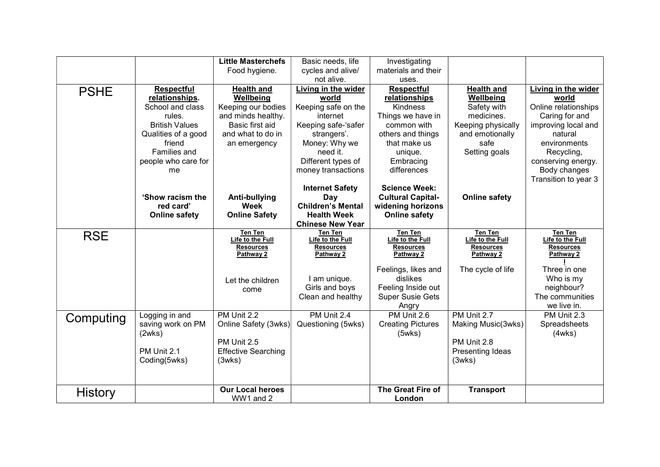|             |                       | <b>Little Masterchefs</b>  | Basic needs, life          | Investigating            |                      |                      |
|-------------|-----------------------|----------------------------|----------------------------|--------------------------|----------------------|----------------------|
|             |                       | Food hygiene.              | cycles and alive/          | materials and their      |                      |                      |
|             |                       |                            | not alive.                 | uses.                    |                      |                      |
|             | <b>Respectful</b>     | <b>Health and</b>          | <b>Living in the wider</b> | <b>Respectful</b>        | <b>Health and</b>    | Living in the wider  |
| <b>PSHE</b> | relationships.        | Wellbeing                  | world                      | relationships            | Wellbeing            | world                |
|             | School and class      | Keeping our bodies         | Keeping safe on the        | <b>Kindness</b>          | Safety with          | Online relationships |
|             | rules.                | and minds healthy.         | internet                   | Things we have in        | medicines.           | Caring for and       |
|             | <b>British Values</b> | Basic first aid            | Keeping safe-'safer        | common with              | Keeping physically   |                      |
|             |                       |                            |                            |                          |                      | improving local and  |
|             | Qualities of a good   | and what to do in          | strangers'.                | others and things        | and emotionally      | natural              |
|             | friend                | an emergency               | Money: Why we              | that make us             | safe                 | environments         |
|             | <b>Families and</b>   |                            | need it.                   | unique.                  | Setting goals        | Recycling,           |
|             | people who care for   |                            | Different types of         | Embracing                |                      | conserving energy.   |
|             | me                    |                            | money transactions         | differences              |                      | Body changes         |
|             |                       |                            |                            |                          |                      | Transition to year 3 |
|             |                       |                            | <b>Internet Safety</b>     | <b>Science Week:</b>     |                      |                      |
|             | 'Show racism the      | Anti-bullying              | Day                        | <b>Cultural Capital-</b> | <b>Online safety</b> |                      |
|             | red card'             | <b>Week</b>                | <b>Children's Mental</b>   | widening horizons        |                      |                      |
|             | <b>Online safety</b>  | <b>Online Safety</b>       | <b>Health Week</b>         | <b>Online safety</b>     |                      |                      |
|             |                       |                            | <b>Chinese New Year</b>    |                          |                      |                      |
|             |                       |                            |                            |                          |                      |                      |
|             |                       | <b>Ten Ten</b>             | <b>Ten Ten</b>             | <b>Ten Ten</b>           | <b>Ten Ten</b>       | <b>Ten Ten</b>       |
| <b>RSE</b>  |                       | Life to the Full           | Life to the Full           | Life to the Full         | Life to the Full     | Life to the Full     |
|             |                       | <b>Resources</b>           | <b>Resources</b>           | <b>Resources</b>         | <b>Resources</b>     | <b>Resources</b>     |
|             |                       | Pathway 2                  | Pathway 2                  | Pathway 2                | Pathway 2            | Pathway 2            |
|             |                       |                            |                            | Feelings, likes and      | The cycle of life    | Three in one         |
|             |                       | Let the children           | I am unique.               | dislikes                 |                      | Who is my            |
|             |                       | come                       | Girls and boys             | Feeling Inside out       |                      | neighbour?           |
|             |                       |                            | Clean and healthy          | <b>Super Susie Gets</b>  |                      | The communities      |
|             |                       |                            |                            | Angry                    |                      | we live in.          |
|             | Logging in and        | PM Unit 2.2                | PM Unit 2.4                | PM Unit 2.6              | PM Unit 2.7          | PM Unit 2.3          |
| Computing   |                       |                            |                            |                          |                      |                      |
|             | saving work on PM     | Online Safety (3wks)       | Questioning (5wks)         | <b>Creating Pictures</b> | Making Music(3wks)   | Spreadsheets         |
|             | (2wks)                | PM Unit 2.5                |                            | (5wks)                   |                      | (4wks)               |
|             |                       |                            |                            |                          | PM Unit 2.8          |                      |
|             | PM Unit 2.1           | <b>Effective Searching</b> |                            |                          | Presenting Ideas     |                      |
|             | Coding(5wks)          | (3wks)                     |                            |                          | (3wks)               |                      |
|             |                       |                            |                            |                          |                      |                      |
| History     |                       | <b>Our Local heroes</b>    |                            | The Great Fire of        | <b>Transport</b>     |                      |